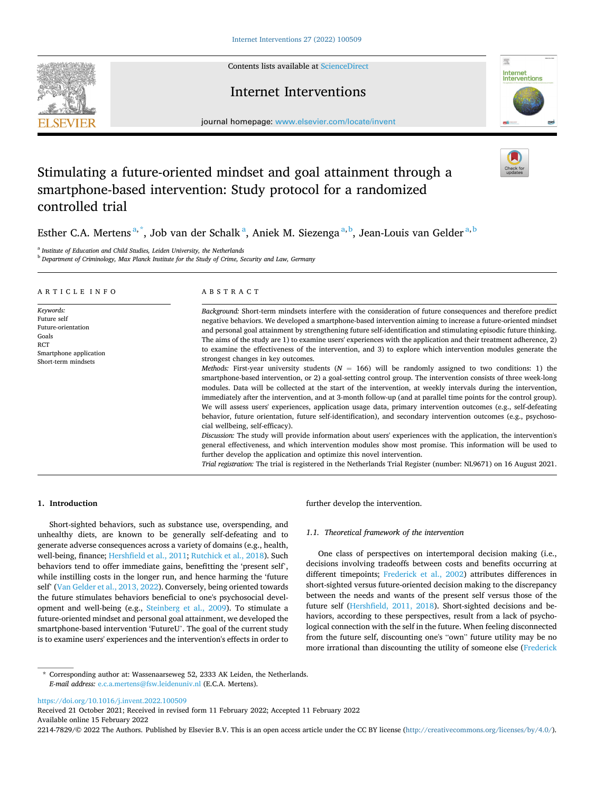Contents lists available at [ScienceDirect](www.sciencedirect.com/science/journal/22147829)



## Internet Interventions



journal homepage: [www.elsevier.com/locate/invent](https://www.elsevier.com/locate/invent)

# Stimulating a future-oriented mindset and goal attainment through a smartphone-based intervention: Study protocol for a randomized controlled trial

Esther C.A. Mertens<sup>a,\*</sup>, Job van der Schalk<sup>a</sup>, Aniek M. Siezenga<sup>a,b</sup>, Jean-Louis van Gelder<sup>a,b</sup>

<sup>a</sup> *Institute of Education and Child Studies, Leiden University, the Netherlands* 

<sup>b</sup> *Department of Criminology, Max Planck Institute for the Study of Crime, Security and Law, Germany* 

| ARTICLE INFO                                                                                                    | ABSTRACT                                                                                                                                                                                                                                                                                                                                                                                                                                                                                                                                                                                                                                                                                                                                                                                                                                                                                                                                                                                                                                                                                                                                                                                                                                                                                                                                                                                                                                                                                                                                                                                                                                                                                                                                                                                                                   |
|-----------------------------------------------------------------------------------------------------------------|----------------------------------------------------------------------------------------------------------------------------------------------------------------------------------------------------------------------------------------------------------------------------------------------------------------------------------------------------------------------------------------------------------------------------------------------------------------------------------------------------------------------------------------------------------------------------------------------------------------------------------------------------------------------------------------------------------------------------------------------------------------------------------------------------------------------------------------------------------------------------------------------------------------------------------------------------------------------------------------------------------------------------------------------------------------------------------------------------------------------------------------------------------------------------------------------------------------------------------------------------------------------------------------------------------------------------------------------------------------------------------------------------------------------------------------------------------------------------------------------------------------------------------------------------------------------------------------------------------------------------------------------------------------------------------------------------------------------------------------------------------------------------------------------------------------------------|
| Keywords:<br>Future self<br>Future-orientation<br>Goals<br>RCT<br>Smartphone application<br>Short-term mindsets | Background: Short-term mindsets interfere with the consideration of future consequences and therefore predict<br>negative behaviors. We developed a smartphone-based intervention aiming to increase a future-oriented mindset<br>and personal goal attainment by strengthening future self-identification and stimulating episodic future thinking.<br>The aims of the study are 1) to examine users' experiences with the application and their treatment adherence, 2)<br>to examine the effectiveness of the intervention, and 3) to explore which intervention modules generate the<br>strongest changes in key outcomes.<br><i>Methods:</i> First-year university students ( $N = 166$ ) will be randomly assigned to two conditions: 1) the<br>smartphone-based intervention, or 2) a goal-setting control group. The intervention consists of three week-long<br>modules. Data will be collected at the start of the intervention, at weekly intervals during the intervention,<br>immediately after the intervention, and at 3-month follow-up (and at parallel time points for the control group).<br>We will assess users' experiences, application usage data, primary intervention outcomes (e.g., self-defeating<br>behavior, future orientation, future self-identification), and secondary intervention outcomes (e.g., psychoso-<br>cial wellbeing, self-efficacy).<br><i>Discussion:</i> The study will provide information about users' experiences with the application, the intervention's<br>general effectiveness, and which intervention modules show most promise. This information will be used to<br>further develop the application and optimize this novel intervention.<br>Trial registration: The trial is registered in the Netherlands Trial Register (number: NL9671) on 16 August 2021. |

## **1. Introduction**

Short-sighted behaviors, such as substance use, overspending, and unhealthy diets, are known to be generally self-defeating and to generate adverse consequences across a variety of domains (e.g., health, well-being, finance; [Hershfield et al., 2011](#page-6-0); [Rutchick et al., 2018](#page-6-0)). Such behaviors tend to offer immediate gains, benefitting the 'present self', while instilling costs in the longer run, and hence harming the 'future self' [\(Van Gelder et al., 2013, 2022\)](#page-7-0). Conversely, being oriented towards the future stimulates behaviors beneficial to one's psychosocial development and well-being (e.g., [Steinberg et al., 2009\)](#page-6-0). To stimulate a future-oriented mindset and personal goal attainment, we developed the smartphone-based intervention 'FutureU'. The goal of the current study is to examine users' experiences and the intervention's effects in order to

further develop the intervention.

## *1.1. Theoretical framework of the intervention*

One class of perspectives on intertemporal decision making (i.e., decisions involving tradeoffs between costs and benefits occurring at different timepoints; [Frederick et al., 2002](#page-6-0)) attributes differences in short-sighted versus future-oriented decision making to the discrepancy between the needs and wants of the present self versus those of the future self [\(Hershfield, 2011, 2018\)](#page-6-0). Short-sighted decisions and behaviors, according to these perspectives, result from a lack of psychological connection with the self in the future. When feeling disconnected from the future self, discounting one's "own" future utility may be no more irrational than discounting the utility of someone else [\(Frederick](#page-6-0) 

<https://doi.org/10.1016/j.invent.2022.100509>

Available online 15 February 2022 Received 21 October 2021; Received in revised form 11 February 2022; Accepted 11 February 2022

2214-7829/© 2022 The Authors. Published by Elsevier B.V. This is an open access article under the CC BY license [\(http://creativecommons.org/licenses/by/4.0/\)](http://creativecommons.org/licenses/by/4.0/).

<sup>\*</sup> Corresponding author at: Wassenaarseweg 52, 2333 AK Leiden, the Netherlands. *E-mail address:* [e.c.a.mertens@fsw.leidenuniv.nl](mailto:e.c.a.mertens@fsw.leidenuniv.nl) (E.C.A. Mertens).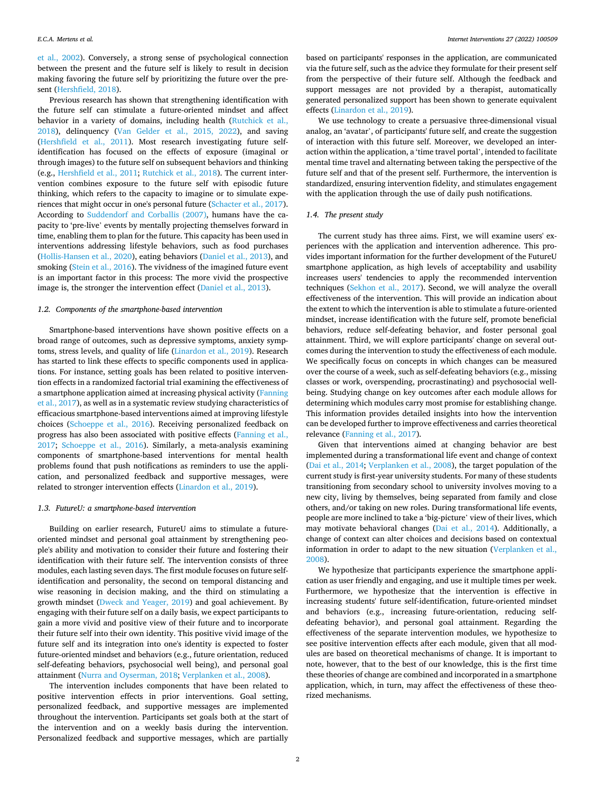#### *E.C.A. Mertens et al.*

[et al., 2002\)](#page-6-0). Conversely, a strong sense of psychological connection between the present and the future self is likely to result in decision making favoring the future self by prioritizing the future over the present [\(Hershfield, 2018](#page-6-0)).

Previous research has shown that strengthening identification with the future self can stimulate a future-oriented mindset and affect behavior in a variety of domains, including health [\(Rutchick et al.,](#page-6-0)  [2018\)](#page-6-0), delinquency [\(Van Gelder et al., 2015, 2022](#page-7-0)), and saving ([Hershfield et al., 2011\)](#page-6-0). Most research investigating future selfidentification has focused on the effects of exposure (imaginal or through images) to the future self on subsequent behaviors and thinking (e.g., [Hershfield et al., 2011;](#page-6-0) [Rutchick et al., 2018](#page-6-0)). The current intervention combines exposure to the future self with episodic future thinking, which refers to the capacity to imagine or to simulate experiences that might occur in one's personal future ([Schacter et al., 2017](#page-6-0)). According to [Suddendorf and Corballis \(2007\),](#page-6-0) humans have the capacity to 'pre-live' events by mentally projecting themselves forward in time, enabling them to plan for the future. This capacity has been used in interventions addressing lifestyle behaviors, such as food purchases ([Hollis-Hansen et al., 2020](#page-6-0)), eating behaviors [\(Daniel et al., 2013](#page-6-0)), and smoking [\(Stein et al., 2016\)](#page-6-0). The vividness of the imagined future event is an important factor in this process: The more vivid the prospective image is, the stronger the intervention effect ([Daniel et al., 2013](#page-6-0)).

## *1.2. Components of the smartphone-based intervention*

Smartphone-based interventions have shown positive effects on a broad range of outcomes, such as depressive symptoms, anxiety symptoms, stress levels, and quality of life ([Linardon et al., 2019](#page-6-0)). Research has started to link these effects to specific components used in applications. For instance, setting goals has been related to positive intervention effects in a randomized factorial trial examining the effectiveness of a smartphone application aimed at increasing physical activity [\(Fanning](#page-6-0)  [et al., 2017\)](#page-6-0), as well as in a systematic review studying characteristics of efficacious smartphone-based interventions aimed at improving lifestyle choices [\(Schoeppe et al., 2016\)](#page-6-0). Receiving personalized feedback on progress has also been associated with positive effects [\(Fanning et al.,](#page-6-0)  [2017;](#page-6-0) [Schoeppe et al., 2016\)](#page-6-0). Similarly, a meta-analysis examining components of smartphone-based interventions for mental health problems found that push notifications as reminders to use the application, and personalized feedback and supportive messages, were related to stronger intervention effects [\(Linardon et al., 2019](#page-6-0)).

## *1.3. FutureU: a smartphone-based intervention*

Building on earlier research, FutureU aims to stimulate a futureoriented mindset and personal goal attainment by strengthening people's ability and motivation to consider their future and fostering their identification with their future self. The intervention consists of three modules, each lasting seven days. The first module focuses on future selfidentification and personality, the second on temporal distancing and wise reasoning in decision making, and the third on stimulating a growth mindset ([Dweck and Yeager, 2019\)](#page-6-0) and goal achievement. By engaging with their future self on a daily basis, we expect participants to gain a more vivid and positive view of their future and to incorporate their future self into their own identity. This positive vivid image of the future self and its integration into one's identity is expected to foster future-oriented mindset and behaviors (e.g., future orientation, reduced self-defeating behaviors, psychosocial well being), and personal goal attainment [\(Nurra and Oyserman, 2018;](#page-6-0) [Verplanken et al., 2008\)](#page-7-0).

The intervention includes components that have been related to positive intervention effects in prior interventions. Goal setting, personalized feedback, and supportive messages are implemented throughout the intervention. Participants set goals both at the start of the intervention and on a weekly basis during the intervention. Personalized feedback and supportive messages, which are partially

based on participants' responses in the application, are communicated via the future self, such as the advice they formulate for their present self from the perspective of their future self. Although the feedback and support messages are not provided by a therapist, automatically generated personalized support has been shown to generate equivalent effects ([Linardon et al., 2019\)](#page-6-0).

We use technology to create a persuasive three-dimensional visual analog, an 'avatar', of participants' future self, and create the suggestion of interaction with this future self. Moreover, we developed an interaction within the application, a 'time travel portal', intended to facilitate mental time travel and alternating between taking the perspective of the future self and that of the present self. Furthermore, the intervention is standardized, ensuring intervention fidelity, and stimulates engagement with the application through the use of daily push notifications.

#### *1.4. The present study*

The current study has three aims. First, we will examine users' experiences with the application and intervention adherence. This provides important information for the further development of the FutureU smartphone application, as high levels of acceptability and usability increases users' tendencies to apply the recommended intervention techniques [\(Sekhon et al., 2017\)](#page-6-0). Second, we will analyze the overall effectiveness of the intervention. This will provide an indication about the extent to which the intervention is able to stimulate a future-oriented mindset, increase identification with the future self, promote beneficial behaviors, reduce self-defeating behavior, and foster personal goal attainment. Third, we will explore participants' change on several outcomes during the intervention to study the effectiveness of each module. We specifically focus on concepts in which changes can be measured over the course of a week, such as self-defeating behaviors (e.g., missing classes or work, overspending, procrastinating) and psychosocial wellbeing. Studying change on key outcomes after each module allows for determining which modules carry most promise for establishing change. This information provides detailed insights into how the intervention can be developed further to improve effectiveness and carries theoretical relevance ([Fanning et al., 2017\)](#page-6-0).

Given that interventions aimed at changing behavior are best implemented during a transformational life event and change of context ([Dai et al., 2014](#page-6-0); [Verplanken et al., 2008](#page-7-0)), the target population of the current study is first-year university students. For many of these students transitioning from secondary school to university involves moving to a new city, living by themselves, being separated from family and close others, and/or taking on new roles. During transformational life events, people are more inclined to take a 'big-picture' view of their lives, which may motivate behavioral changes [\(Dai et al., 2014\)](#page-6-0). Additionally, a change of context can alter choices and decisions based on contextual information in order to adapt to the new situation ([Verplanken et al.,](#page-7-0)  [2008\)](#page-7-0).

We hypothesize that participants experience the smartphone application as user friendly and engaging, and use it multiple times per week. Furthermore, we hypothesize that the intervention is effective in increasing students' future self-identification, future-oriented mindset and behaviors (e.g., increasing future-orientation, reducing selfdefeating behavior), and personal goal attainment. Regarding the effectiveness of the separate intervention modules, we hypothesize to see positive intervention effects after each module, given that all modules are based on theoretical mechanisms of change. It is important to note, however, that to the best of our knowledge, this is the first time these theories of change are combined and incorporated in a smartphone application, which, in turn, may affect the effectiveness of these theorized mechanisms.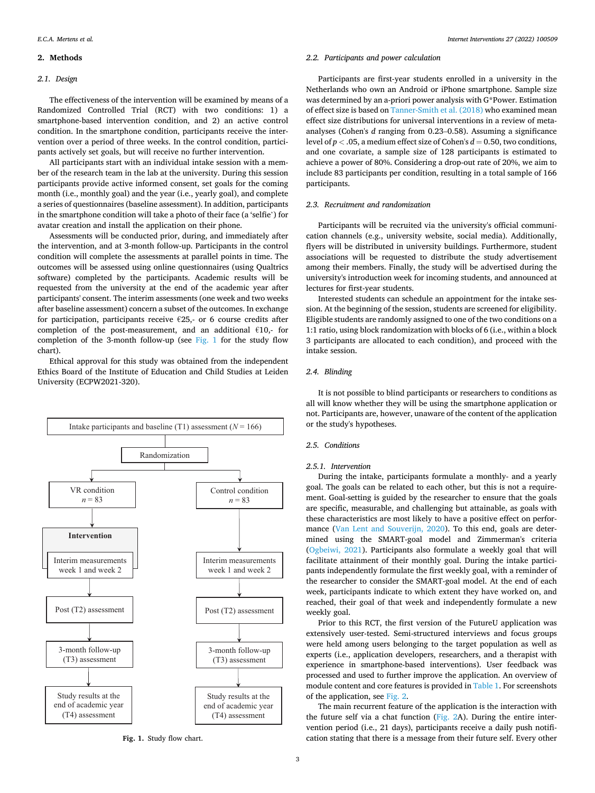## <span id="page-2-0"></span>**2. Methods**

## *2.1. Design*

The effectiveness of the intervention will be examined by means of a Randomized Controlled Trial (RCT) with two conditions: 1) a smartphone-based intervention condition, and 2) an active control condition. In the smartphone condition, participants receive the intervention over a period of three weeks. In the control condition, participants actively set goals, but will receive no further intervention.

All participants start with an individual intake session with a member of the research team in the lab at the university. During this session participants provide active informed consent, set goals for the coming month (i.e., monthly goal) and the year (i.e., yearly goal), and complete a series of questionnaires (baseline assessment). In addition, participants in the smartphone condition will take a photo of their face (a 'selfie') for avatar creation and install the application on their phone.

Assessments will be conducted prior, during, and immediately after the intervention, and at 3-month follow-up. Participants in the control condition will complete the assessments at parallel points in time. The outcomes will be assessed using online questionnaires (using Qualtrics software) completed by the participants. Academic results will be requested from the university at the end of the academic year after participants' consent. The interim assessments (one week and two weeks after baseline assessment) concern a subset of the outcomes. In exchange for participation, participants receive  $E25$ , or 6 course credits after completion of the post-measurement, and an additional  $€10,$ - for completion of the 3-month follow-up (see Fig. 1 for the study flow chart).

Ethical approval for this study was obtained from the independent Ethics Board of the Institute of Education and Child Studies at Leiden University (ECPW2021-320).



**Fig. 1.** Study flow chart.

## *2.2. Participants and power calculation*

Participants are first-year students enrolled in a university in the Netherlands who own an Android or iPhone smartphone. Sample size was determined by an a-priori power analysis with G\*Power. Estimation of effect size is based on [Tanner-Smith et al. \(2018\)](#page-6-0) who examined mean effect size distributions for universal interventions in a review of metaanalyses (Cohen's *d* ranging from 0.23–0.58). Assuming a significance level of  $p < .05$ , a medium effect size of Cohen's  $d = 0.50$ , two conditions, and one covariate, a sample size of 128 participants is estimated to achieve a power of 80%. Considering a drop-out rate of 20%, we aim to include 83 participants per condition, resulting in a total sample of 166 participants.

## *2.3. Recruitment and randomization*

Participants will be recruited via the university's official communication channels (e.g., university website, social media). Additionally, flyers will be distributed in university buildings. Furthermore, student associations will be requested to distribute the study advertisement among their members. Finally, the study will be advertised during the university's introduction week for incoming students, and announced at lectures for first-year students.

Interested students can schedule an appointment for the intake session. At the beginning of the session, students are screened for eligibility. Eligible students are randomly assigned to one of the two conditions on a 1:1 ratio, using block randomization with blocks of 6 (i.e., within a block 3 participants are allocated to each condition), and proceed with the intake session.

#### *2.4. Blinding*

It is not possible to blind participants or researchers to conditions as all will know whether they will be using the smartphone application or not. Participants are, however, unaware of the content of the application or the study's hypotheses.

## *2.5. Conditions*

## *2.5.1. Intervention*

During the intake, participants formulate a monthly- and a yearly goal. The goals can be related to each other, but this is not a requirement. Goal-setting is guided by the researcher to ensure that the goals are specific, measurable, and challenging but attainable, as goals with these characteristics are most likely to have a positive effect on performance ([Van Lent and Souverijn, 2020](#page-7-0)). To this end, goals are determined using the SMART-goal model and Zimmerman's criteria ([Ogbeiwi, 2021\)](#page-6-0). Participants also formulate a weekly goal that will facilitate attainment of their monthly goal. During the intake participants independently formulate the first weekly goal, with a reminder of the researcher to consider the SMART-goal model. At the end of each week, participants indicate to which extent they have worked on, and reached, their goal of that week and independently formulate a new weekly goal.

Prior to this RCT, the first version of the FutureU application was extensively user-tested. Semi-structured interviews and focus groups were held among users belonging to the target population as well as experts (i.e., application developers, researchers, and a therapist with experience in smartphone-based interventions). User feedback was processed and used to further improve the application. An overview of module content and core features is provided in [Table 1.](#page-3-0) For screenshots of the application, see [Fig. 2](#page-4-0).

The main recurrent feature of the application is the interaction with the future self via a chat function [\(Fig. 2](#page-4-0)A). During the entire intervention period (i.e., 21 days), participants receive a daily push notification stating that there is a message from their future self. Every other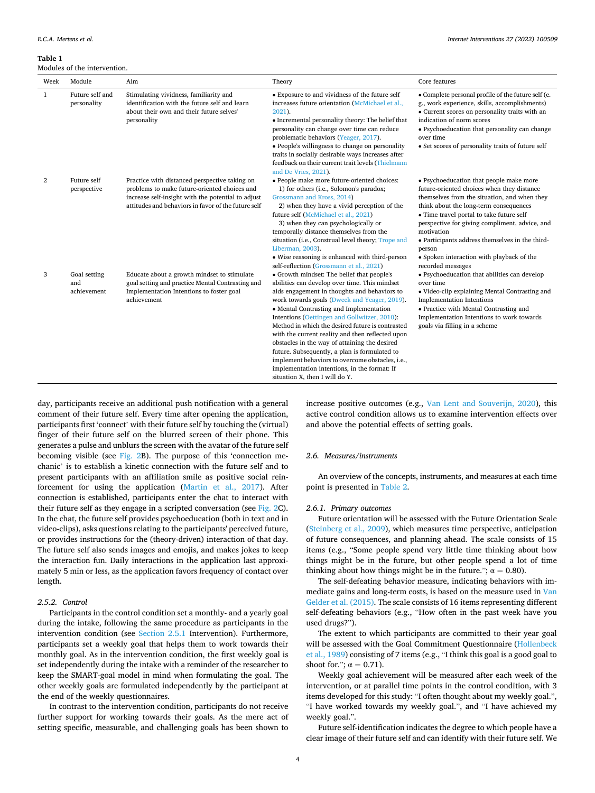<span id="page-3-0"></span>**Table 1** 

Modules of the intervention.

| Week           | Module                             | Aim                                                                                                                                                                                                        | Theory                                                                                                                                                                                                                                                                                                                                                                                                                                                                                                                                                                                                                                 | Core features                                                                                                                                                                                                                                                                                                                                                                                                              |
|----------------|------------------------------------|------------------------------------------------------------------------------------------------------------------------------------------------------------------------------------------------------------|----------------------------------------------------------------------------------------------------------------------------------------------------------------------------------------------------------------------------------------------------------------------------------------------------------------------------------------------------------------------------------------------------------------------------------------------------------------------------------------------------------------------------------------------------------------------------------------------------------------------------------------|----------------------------------------------------------------------------------------------------------------------------------------------------------------------------------------------------------------------------------------------------------------------------------------------------------------------------------------------------------------------------------------------------------------------------|
| 1              | Future self and<br>personality     | Stimulating vividness, familiarity and<br>identification with the future self and learn<br>about their own and their future selves'<br>personality                                                         | • Exposure to and vividness of the future self<br>increases future orientation (McMichael et al.,<br>2021).<br>• Incremental personality theory: The belief that<br>personality can change over time can reduce<br>problematic behaviors (Yeager, 2017).<br>• People's willingness to change on personality<br>traits in socially desirable ways increases after<br>feedback on their current trait levels (Thielmann<br>and De Vries, 2021).                                                                                                                                                                                          | • Complete personal profile of the future self (e.<br>g., work experience, skills, accomplishments)<br>• Current scores on personality traits with an<br>indication of norm scores<br>• Psychoeducation that personality can change<br>over time<br>• Set scores of personality traits of future self                                                                                                                      |
| $\overline{2}$ | Future self<br>perspective         | Practice with distanced perspective taking on<br>problems to make future-oriented choices and<br>increase self-insight with the potential to adjust<br>attitudes and behaviors in favor of the future self | · People make more future-oriented choices:<br>1) for others (i.e., Solomon's paradox;<br>Grossmann and Kross, 2014)<br>2) when they have a vivid perception of the<br>future self (McMichael et al., 2021)<br>3) when they can psychologically or<br>temporally distance themselves from the<br>situation (i.e., Construal level theory; Trope and<br>Liberman, 2003).<br>• Wise reasoning is enhanced with third-person<br>self-reflection (Grossmann et al., 2021)                                                                                                                                                                  | • Psychoeducation that people make more<br>future-oriented choices when they distance<br>themselves from the situation, and when they<br>think about the long-term consequences<br>• Time travel portal to take future self<br>perspective for giving compliment, advice, and<br>motivation<br>• Participants address themselves in the third-<br>person<br>• Spoken interaction with playback of the<br>recorded messages |
| 3              | Goal setting<br>and<br>achievement | Educate about a growth mindset to stimulate<br>goal setting and practice Mental Contrasting and<br>Implementation Intentions to foster goal<br>achievement                                                 | • Growth mindset: The belief that people's<br>abilities can develop over time. This mindset<br>aids engagement in thoughts and behaviors to<br>work towards goals (Dweck and Yeager, 2019).<br>• Mental Contrasting and Implementation<br>Intentions (Oettingen and Gollwitzer, 2010):<br>Method in which the desired future is contrasted<br>with the current reality and then reflected upon<br>obstacles in the way of attaining the desired<br>future. Subsequently, a plan is formulated to<br>implement behaviors to overcome obstacles, i.e.,<br>implementation intentions, in the format: If<br>situation X, then I will do Y. | • Psychoeducation that abilities can develop<br>over time<br>• Video-clip explaining Mental Contrasting and<br><b>Implementation Intentions</b><br>• Practice with Mental Contrasting and<br>Implementation Intentions to work towards<br>goals via filling in a scheme                                                                                                                                                    |

day, participants receive an additional push notification with a general comment of their future self. Every time after opening the application, participants first 'connect' with their future self by touching the (virtual) finger of their future self on the blurred screen of their phone. This generates a pulse and unblurs the screen with the avatar of the future self becoming visible (see [Fig. 2](#page-4-0)B). The purpose of this 'connection mechanic' is to establish a kinetic connection with the future self and to present participants with an affiliation smile as positive social reinforcement for using the application ([Martin et al., 2017](#page-6-0)). After connection is established, participants enter the chat to interact with their future self as they engage in a scripted conversation (see [Fig. 2](#page-4-0)C). In the chat, the future self provides psychoeducation (both in text and in video-clips), asks questions relating to the participants' perceived future, or provides instructions for the (theory-driven) interaction of that day. The future self also sends images and emojis, and makes jokes to keep the interaction fun. Daily interactions in the application last approximately 5 min or less, as the application favors frequency of contact over length.

## *2.5.2. Control*

Participants in the control condition set a monthly- and a yearly goal during the intake, following the same procedure as participants in the intervention condition (see [Section 2.5.1](#page-2-0) Intervention). Furthermore, participants set a weekly goal that helps them to work towards their monthly goal. As in the intervention condition, the first weekly goal is set independently during the intake with a reminder of the researcher to keep the SMART-goal model in mind when formulating the goal. The other weekly goals are formulated independently by the participant at the end of the weekly questionnaires.

In contrast to the intervention condition, participants do not receive further support for working towards their goals. As the mere act of setting specific, measurable, and challenging goals has been shown to

increase positive outcomes (e.g., [Van Lent and Souverijn, 2020](#page-7-0)), this active control condition allows us to examine intervention effects over and above the potential effects of setting goals.

## *2.6. Measures/instruments*

An overview of the concepts, instruments, and measures at each time point is presented in [Table 2.](#page-5-0)

#### *2.6.1. Primary outcomes*

Future orientation will be assessed with the Future Orientation Scale ([Steinberg et al., 2009\)](#page-6-0), which measures time perspective, anticipation of future consequences, and planning ahead. The scale consists of 15 items (e.g., "Some people spend very little time thinking about how things might be in the future, but other people spend a lot of time thinking about how things might be in the future.";  $\alpha = 0.80$ ).

The self-defeating behavior measure, indicating behaviors with immediate gains and long-term costs, is based on the measure used in [Van](#page-7-0)  [Gelder et al. \(2015\)](#page-7-0). The scale consists of 16 items representing different self-defeating behaviors (e.g., "How often in the past week have you used drugs?").

The extent to which participants are committed to their year goal will be assessed with the Goal Commitment Questionnaire ([Hollenbeck](#page-6-0)  [et al., 1989\)](#page-6-0) consisting of 7 items (e.g., "I think this goal is a good goal to shoot for.";  $\alpha = 0.71$ ).

Weekly goal achievement will be measured after each week of the intervention, or at parallel time points in the control condition, with 3 items developed for this study: "I often thought about my weekly goal.", "I have worked towards my weekly goal.", and "I have achieved my weekly goal.".

Future self-identification indicates the degree to which people have a clear image of their future self and can identify with their future self. We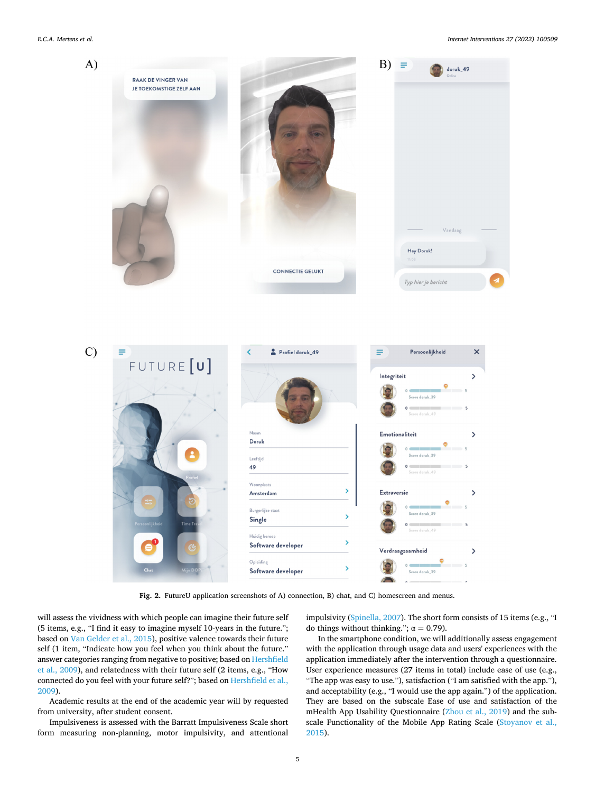#### <span id="page-4-0"></span>*E.C.A. Mertens et al.*



**Fig. 2.** FutureU application screenshots of A) connection, B) chat, and C) homescreen and menus.

will assess the vividness with which people can imagine their future self (5 items, e.g., "I find it easy to imagine myself 10-years in the future."; based on [Van Gelder et al., 2015](#page-7-0)), positive valence towards their future self (1 item, "Indicate how you feel when you think about the future." answer categories ranging from negative to positive; based on [Hershfield](#page-6-0)  [et al., 2009\)](#page-6-0), and relatedness with their future self (2 items, e.g., "How connected do you feel with your future self?"; based on [Hershfield et al.,](#page-6-0)  [2009\)](#page-6-0).

Academic results at the end of the academic year will by requested from university, after student consent.

Impulsiveness is assessed with the Barratt Impulsiveness Scale short form measuring non-planning, motor impulsivity, and attentional impulsivity [\(Spinella, 2007](#page-6-0)). The short form consists of 15 items (e.g., "I do things without thinking.";  $\alpha = 0.79$ ).

In the smartphone condition, we will additionally assess engagement with the application through usage data and users' experiences with the application immediately after the intervention through a questionnaire. User experience measures (27 items in total) include ease of use (e.g., "The app was easy to use."), satisfaction ("I am satisfied with the app."), and acceptability (e.g., "I would use the app again.") of the application. They are based on the subscale Ease of use and satisfaction of the mHealth App Usability Questionnaire ([Zhou et al., 2019\)](#page-7-0) and the subscale Functionality of the Mobile App Rating Scale [\(Stoyanov et al.,](#page-6-0)  [2015\)](#page-6-0).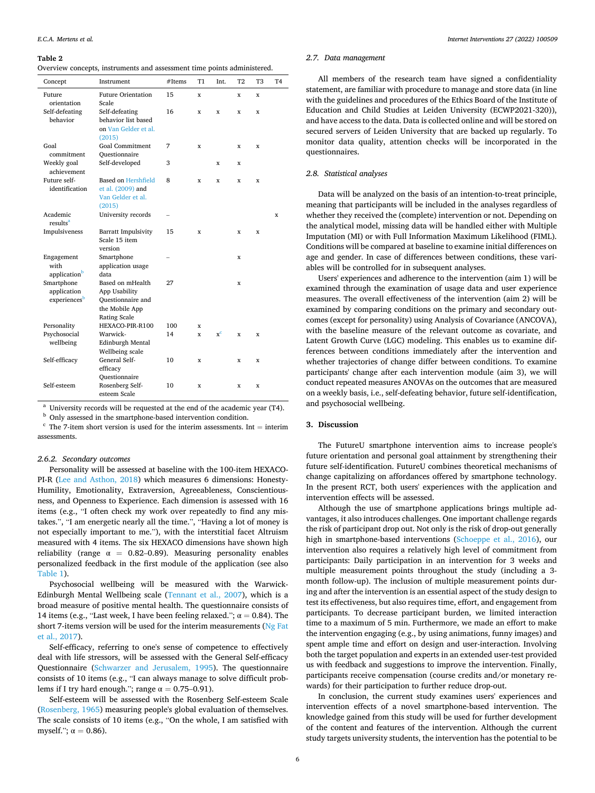#### <span id="page-5-0"></span>**Table 2**

|  |  |  | Overview concepts, instruments and assessment time points administered. |  |
|--|--|--|-------------------------------------------------------------------------|--|
|  |  |  |                                                                         |  |

| Concept                                   | Instrument                                                                               | #Items | <b>T1</b>    | Int.  | T <sub>2</sub> | T <sub>3</sub> | T <sub>4</sub> |
|-------------------------------------------|------------------------------------------------------------------------------------------|--------|--------------|-------|----------------|----------------|----------------|
| Future<br>orientation                     | <b>Future Orientation</b><br>Scale                                                       | 15     | x            |       | x              | x              |                |
| Self-defeating<br>behavior                | Self-defeating<br>behavior list based<br>on Van Gelder et al.<br>(2015)                  | 16     | x            | x     | x              | x              |                |
| Goal<br>commitment                        | <b>Goal Commitment</b><br>Ouestionnaire                                                  | 7      | x            |       | X              | X              |                |
| Weekly goal<br>achievement                | Self-developed                                                                           | 3      |              | X     | X              |                |                |
| Future self-<br>identification            | Based on Hershfield<br>et al. (2009) and<br>Van Gelder et al.<br>(2015)                  | 8      | x            | X     | X              | x              |                |
| Academic<br>results <sup>a</sup>          | University records                                                                       |        |              |       |                |                | X              |
| Impulsiveness                             | <b>Barratt Impulsivity</b><br>Scale 15 item<br>version                                   | 15     | x            |       | x              | x              |                |
| Engagement<br>with<br>applicationb        | Smartphone<br>application usage<br>data                                                  |        |              |       | x              |                |                |
| Smartphone<br>application<br>experiencesb | Based on mHealth<br>App Usability<br>Questionnaire and<br>the Mobile App<br>Rating Scale | 27     |              |       | x              |                |                |
| Personality                               | HEXACO-PIR-R100                                                                          | 100    | x            |       |                |                |                |
| Psychosocial<br>wellbeing                 | Warwick-<br>Edinburgh Mental<br>Wellbeing scale                                          | 14     | $\mathbf{x}$ | $x^c$ | x              | x              |                |
| Self-efficacy                             | General Self-<br>efficacy<br>Ouestionnaire                                               | 10     | x            |       | x              | x              |                |
| Self-esteem                               | Rosenberg Self-<br>esteem Scale                                                          | 10     | x            |       | x              | X              |                |

<sup>a</sup> University records will be requested at the end of the academic year (T4). b Only assessed in the smartphone-based intervention condition. c The 7-item short version is used for the interim assessments. Int = interim assessments.

## *2.6.2. Secondary outcomes*

Personality will be assessed at baseline with the 100-item HEXACO-PI-R ([Lee and Asthon, 2018](#page-6-0)) which measures 6 dimensions: Honesty-Humility, Emotionality, Extraversion, Agreeableness, Conscientiousness, and Openness to Experience. Each dimension is assessed with 16 items (e.g., "I often check my work over repeatedly to find any mistakes.", "I am energetic nearly all the time.", "Having a lot of money is not especially important to me."), with the interstitial facet Altruism measured with 4 items. The six HEXACO dimensions have shown high reliability (range  $\alpha = 0.82{\text -}0.89$ ). Measuring personality enables personalized feedback in the first module of the application (see also [Table 1](#page-3-0)).

Psychosocial wellbeing will be measured with the Warwick-Edinburgh Mental Wellbeing scale [\(Tennant et al., 2007](#page-6-0)), which is a broad measure of positive mental health. The questionnaire consists of 14 items (e.g., "Last week, I have been feeling relaxed.";  $\alpha = 0.84$ ). The short 7-items version will be used for the interim measurements ([Ng Fat](#page-6-0)  [et al., 2017\)](#page-6-0).

Self-efficacy, referring to one's sense of competence to effectively deal with life stressors, will be assessed with the General Self-efficacy Questionnaire ([Schwarzer and Jerusalem, 1995](#page-6-0)). The questionnaire consists of 10 items (e.g., "I can always manage to solve difficult problems if I try hard enough."; range  $\alpha = 0.75{\text -}0.91$ ).

Self-esteem will be assessed with the Rosenberg Self-esteem Scale ([Rosenberg, 1965\)](#page-6-0) measuring people's global evaluation of themselves. The scale consists of 10 items (e.g., "On the whole, I am satisfied with myself.";  $\alpha = 0.86$ ).

## *2.7. Data management*

All members of the research team have signed a confidentiality statement, are familiar with procedure to manage and store data (in line with the guidelines and procedures of the Ethics Board of the Institute of Education and Child Studies at Leiden University (ECWP2021-320)), and have access to the data. Data is collected online and will be stored on secured servers of Leiden University that are backed up regularly. To monitor data quality, attention checks will be incorporated in the questionnaires.

## *2.8. Statistical analyses*

Data will be analyzed on the basis of an intention-to-treat principle, meaning that participants will be included in the analyses regardless of whether they received the (complete) intervention or not. Depending on the analytical model, missing data will be handled either with Multiple Imputation (MI) or with Full Information Maximum Likelihood (FIML). Conditions will be compared at baseline to examine initial differences on age and gender. In case of differences between conditions, these variables will be controlled for in subsequent analyses.

Users' experiences and adherence to the intervention (aim 1) will be examined through the examination of usage data and user experience measures. The overall effectiveness of the intervention (aim 2) will be examined by comparing conditions on the primary and secondary outcomes (except for personality) using Analysis of Covariance (ANCOVA), with the baseline measure of the relevant outcome as covariate, and Latent Growth Curve (LGC) modeling. This enables us to examine differences between conditions immediately after the intervention and whether trajectories of change differ between conditions. To examine participants' change after each intervention module (aim 3), we will conduct repeated measures ANOVAs on the outcomes that are measured on a weekly basis, i.e., self-defeating behavior, future self-identification, and psychosocial wellbeing.

#### **3. Discussion**

The FutureU smartphone intervention aims to increase people's future orientation and personal goal attainment by strengthening their future self-identification. FutureU combines theoretical mechanisms of change capitalizing on affordances offered by smartphone technology. In the present RCT, both users' experiences with the application and intervention effects will be assessed.

Although the use of smartphone applications brings multiple advantages, it also introduces challenges. One important challenge regards the risk of participant drop out. Not only is the risk of drop-out generally high in smartphone-based interventions [\(Schoeppe et al., 2016\)](#page-6-0), our intervention also requires a relatively high level of commitment from participants: Daily participation in an intervention for 3 weeks and multiple measurement points throughout the study (including a 3 month follow-up). The inclusion of multiple measurement points during and after the intervention is an essential aspect of the study design to test its effectiveness, but also requires time, effort, and engagement from participants. To decrease participant burden, we limited interaction time to a maximum of 5 min. Furthermore, we made an effort to make the intervention engaging (e.g., by using animations, funny images) and spent ample time and effort on design and user-interaction. Involving both the target population and experts in an extended user-test provided us with feedback and suggestions to improve the intervention. Finally, participants receive compensation (course credits and/or monetary rewards) for their participation to further reduce drop-out.

In conclusion, the current study examines users' experiences and intervention effects of a novel smartphone-based intervention. The knowledge gained from this study will be used for further development of the content and features of the intervention. Although the current study targets university students, the intervention has the potential to be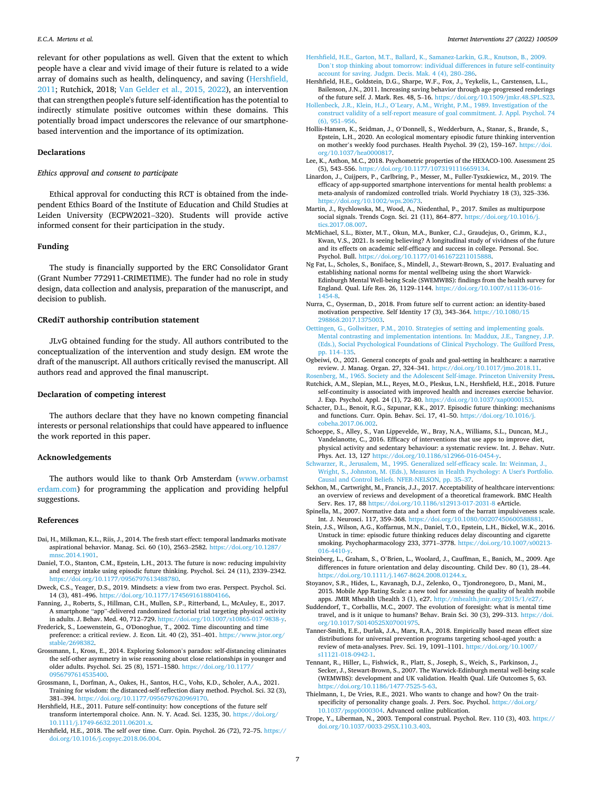<span id="page-6-0"></span>relevant for other populations as well. Given that the extent to which people have a clear and vivid image of their future is related to a wide array of domains such as health, delinquency, and saving (Hershfield, 2011; Rutchick, 2018; [Van Gelder et al., 2015, 2022](#page-7-0)), an intervention that can strengthen people's future self-identification has the potential to indirectly stimulate positive outcomes within these domains. This potentially broad impact underscores the relevance of our smartphonebased intervention and the importance of its optimization.

#### **Declarations**

## *Ethics approval and consent to participate*

Ethical approval for conducting this RCT is obtained from the independent Ethics Board of the Institute of Education and Child Studies at Leiden University (ECPW2021–320). Students will provide active informed consent for their participation in the study.

## **Funding**

The study is financially supported by the ERC Consolidator Grant (Grant Number 772911-CRIMETIME). The funder had no role in study design, data collection and analysis, preparation of the manuscript, and decision to publish.

## **CRediT authorship contribution statement**

JLvG obtained funding for the study. All authors contributed to the conceptualization of the intervention and study design. EM wrote the draft of the manuscript. All authors critically revised the manuscript. All authors read and approved the final manuscript.

#### **Declaration of competing interest**

The authors declare that they have no known competing financial interests or personal relationships that could have appeared to influence the work reported in this paper.

#### **Acknowledgements**

The authors would like to thank Orb Amsterdam [\(www.orbamst](http://www.orbamsterdam.com)  [erdam.com\)](http://www.orbamsterdam.com) for programming the application and providing helpful suggestions.

## **References**

- Dai, H., Milkman, K.L., Riis, J., 2014. The fresh start effect: temporal landmarks motivate aspirational behavior. Manag. Sci. 60 (10), 2563–2582. [https://doi.org/10.1287/](https://doi.org/10.1287/mnsc.2014.1901)  [mnsc.2014.1901](https://doi.org/10.1287/mnsc.2014.1901).
- Daniel, T.O., Stanton, C.M., Epstein, L.H., 2013. The future is now: reducing impulsivity and energy intake using episodic future thinking. Psychol. Sci. 24 (11), 2339–2342. [https://doi.org/10.1177/0956797613488780.](https://doi.org/10.1177/0956797613488780)
- Dweck, C.S., Yeager, D.S., 2019. Mindsets: a view from two eras. Perspect. Psychol. Sci. 14 (3), 481–496. <https://doi.org/10.1177/1745691618804166>.
- Fanning, J., Roberts, S., Hillman, C.H., Mullen, S.P., Ritterband, L., McAuley, E., 2017. A smartphone "app"-delivered randomized factorial trial targeting physical activity in adults. J. Behav. Med. 40, 712–729. [https://doi.org/10.1007/s10865-017-9838-y.](https://doi.org/10.1007/s10865-017-9838-y)
- Frederick, S., Loewenstein, G., O'Donoghue, T., 2002. Time discounting and time preference: a critical review. J. Econ. Lit. 40 (2), 351–401. [https://www.jstor.org/](https://www.jstor.org/stable/2698382) [stable/2698382](https://www.jstor.org/stable/2698382).
- Grossmann, I., Kross, E., 2014. Exploring Solomon's paradox: self-distancing eliminates the self-other asymmetry in wise reasoning about close relationships in younger and older adults. Psychol. Sci. 25 (8), 1571–1580. [https://doi.org/10.1177/](https://doi.org/10.1177/0956797614535400) [0956797614535400.](https://doi.org/10.1177/0956797614535400)
- Grossmann, I., Dorfman, A., Oakes, H., Santos, H.C., Vohs, K.D., Scholer, A.A., 2021. Training for wisdom: the distanced-self-reflection diary method. Psychol. Sci. 32 (3), 381–394. <https://doi.org/10.1177/0956797620969170>.
- Hershfield, H.E., 2011. Future self-continuity: how conceptions of the future self transform intertemporal choice. Ann. N. Y. Acad. Sci. 1235, 30. [https://doi.org/](https://doi.org/10.1111/j.1749-6632.2011.06201.x)  [10.1111/j.1749-6632.2011.06201.x](https://doi.org/10.1111/j.1749-6632.2011.06201.x).
- Hershfield, H.E., 2018. The self over time. Curr. Opin. Psychol. 26 (72), 72–75. [https://](https://doi.org/10.1016/j.copsyc.2018.06.004)  [doi.org/10.1016/j.copsyc.2018.06.004](https://doi.org/10.1016/j.copsyc.2018.06.004).

#### *Internet Interventions 27 (2022) 100509*

- [Hershfield, H.E., Garton, M.T., Ballard, K., Samanez-Larkin, G.R., Knutson, B., 2009.](http://refhub.elsevier.com/S2214-7829(22)00016-1/rf202202120202431570) Don'[t stop thinking about tomorrow: individual differences in future self-continuity](http://refhub.elsevier.com/S2214-7829(22)00016-1/rf202202120202431570)  [account for saving. Judgm. Decis. Mak. 4 \(4\), 280](http://refhub.elsevier.com/S2214-7829(22)00016-1/rf202202120202431570)–286.
- Hershfield, H.E., Goldstein, D.G., Sharpe, W.F., Fox, J., Yeykelis, L., Carstensen, L.L., Bailenson, J.N., 2011. Increasing saving behavior through age-progressed renderings of the future self. J. Mark. Res. 48, 5–16. [https://doi.org/10.1509/jmkr.48.SPL.S23.](https://doi.org/10.1509/jmkr.48.SPL.S23)
- Hollenbeck, J.R., Klein, H.J., O'[Leary, A.M., Wright, P.M., 1989. Investigation of the](http://refhub.elsevier.com/S2214-7829(22)00016-1/rf202202120208031244) [construct validity of a self-report measure of goal commitment. J. Appl. Psychol. 74](http://refhub.elsevier.com/S2214-7829(22)00016-1/rf202202120208031244)  [\(6\), 951](http://refhub.elsevier.com/S2214-7829(22)00016-1/rf202202120208031244)–956.
- Hollis-Hansen, K., Seidman, J., O'Donnell, S., Wedderburn, A., Stanar, S., Brande, S., Epstein, L.H., 2020. An ecological momentary episodic future thinking intervention on mother's weekly food purchases. Health Psychol. 39 (2), 159–167. [https://doi.](https://doi.org/10.1037/hea0000817)  [org/10.1037/hea0000817.](https://doi.org/10.1037/hea0000817)
- Lee, K., Asthon, M.C., 2018. Psychometric properties of the HEXACO-100. Assessment 25 (5), 543–556. [https://doi.org/10.1177/1073191116659134.](https://doi.org/10.1177/1073191116659134)
- Linardon, J., Cuijpers, P., Carlbring, P., Messer, M., Fuller-Tyszkiewicz, M., 2019. The efficacy of app-supported smartphone interventions for mental health problems: a meta-analysis of randomized controlled trials. World Psychiatry 18 (3), 325–336.<br>https://doi.org/10.1002/wps.20673. https://doi.org/10.1002/wps.
- Martin, J., Rychlowska, M., Wood, A., Niedenthal, P., 2017. Smiles as multipurpose social signals. Trends Cogn. Sci. 21 (11), 864–877. [https://doi.org/10.1016/j.](https://doi.org/10.1016/j.tics.2017.08.007)  [tics.2017.08.007.](https://doi.org/10.1016/j.tics.2017.08.007)
- McMichael, S.L., Bixter, M.T., Okun, M.A., Bunker, C.J., Graudejus, O., Grimm, K.J., Kwan, V.S., 2021. Is seeing believing? A longitudinal study of vividness of the future and its effects on academic self-efficacy and success in college. Personal. Soc. Psychol. Bull. <https://doi.org/10.1177/01461672211015888>.
- Ng Fat, L., Scholes, S., Boniface, S., Mindell, J., Stewart-Brown, S., 2017. Evaluating and establishing national norms for mental wellbeing using the short Warwick-Edinburgh Mental Well-being Scale (SWEMWBS): findings from the health survey for England. Qual. Life Res. 26, 1129–1144. [https://doi.org/10.1007/s11136-016-](https://doi.org/10.1007/s11136-016-1454-8) [1454-8.](https://doi.org/10.1007/s11136-016-1454-8)
- Nurra, C., Oyserman, D., 2018. From future self to current action: an identity-based motivation perspective. Self Identity 17 (3), 343–364. [https://10.1080/15](https://10.1080/15298868.2017.1375003) [298868.2017.1375003](https://10.1080/15298868.2017.1375003).
- [Oettingen, G., Gollwitzer, P.M., 2010. Strategies of setting and implementing goals.](http://refhub.elsevier.com/S2214-7829(22)00016-1/rf202202120203518643) [Mental contrasting and implementation intentions. In: Maddux, J.E., Tangney, J.P.](http://refhub.elsevier.com/S2214-7829(22)00016-1/rf202202120203518643)  [\(Eds.\), Social Psychological Foundations of Clinical Psychology. The Guilford Press,](http://refhub.elsevier.com/S2214-7829(22)00016-1/rf202202120203518643)  [pp. 114](http://refhub.elsevier.com/S2214-7829(22)00016-1/rf202202120203518643)–135.
- Ogbeiwi, O., 2021. General concepts of goals and goal-setting in healthcare: a narrative review. J. Manag. Organ. 27, 324–341.<https://doi.org/10.1017/jmo.2018.11>.
- [Rosenberg, M., 1965. Society and the Adolescent Self-image. Princeton University Press.](http://refhub.elsevier.com/S2214-7829(22)00016-1/rf202202120204035580) Rutchick, A.M., Slepian, M.L., Reyes, M.O., Pleskus, L.N., Hershfield, H.E., 2018. Future self-continuity is associated with improved health and increases exercise behavior. J. Exp. Psychol. Appl. 24 (1), 72–80. [https://doi.org/10.1037/xap0000153.](https://doi.org/10.1037/xap0000153)
- Schacter, D.L., Benoit, R.G., Szpunar, K.K., 2017. Episodic future thinking: mechanisms and functions. Curr. Opin. Behav. Sci. 17, 41–50. [https://doi.org/10.1016/j.](https://doi.org/10.1016/j.cobeha.2017.06.002)  [cobeha.2017.06.002](https://doi.org/10.1016/j.cobeha.2017.06.002).
- Schoeppe, S., Alley, S., Van Lippevelde, W., Bray, N.A., Williams, S.L., Duncan, M.J., Vandelanotte, C., 2016. Efficacy of interventions that use apps to improve diet, physical activity and sedentary behaviour: a systematic review. Int. J. Behav. Nutr. Phys. Act. 13, 127 [https://doi.org/10.1186/s12966-016-0454-y.](https://doi.org/10.1186/s12966-016-0454-y)
- [Schwarzer, R., Jerusalem, M., 1995. Generalized self-efficacy scale. In: Weinman, J.,](http://refhub.elsevier.com/S2214-7829(22)00016-1/rf202202120204289718)  [Wright, S., Johnston, M. \(Eds.\), Measures in Health Psychology: A User's Portfolio.](http://refhub.elsevier.com/S2214-7829(22)00016-1/rf202202120204289718) [Causal and Control Beliefs. NFER-NELSON, pp. 35](http://refhub.elsevier.com/S2214-7829(22)00016-1/rf202202120204289718)–37.
- Sekhon, M., Cartwright, M., Francis, J.J., 2017. Acceptability of healthcare interventions: an overview of reviews and development of a theoretical framework. BMC Health Serv. Res. 17, 88 <https://doi.org/10.1186/s12913-017-2031-8> eArticle.
- Spinella, M., 2007. Normative data and a short form of the barratt impulsiveness scale. Int. J. Neurosci. 117, 359–368.<https://doi.org/10.1080/00207450600588881>.
- Stein, J.S., Wilson, A.G., Koffarnus, M.N., Daniel, T.O., Epstein, L.H., Bickel, W.K., 2016. Unstuck in time: episodic future thinking reduces delay discounting and cigarette smoking. Psychopharmacology 233, 3771–3778. [https://doi.org/10.1007/s00213-](https://doi.org/10.1007/s00213-016-4410-y)  [016-4410-y](https://doi.org/10.1007/s00213-016-4410-y).
- Steinberg, L., Graham, S., O'Brien, L., Woolard, J., Cauffman, E., Banich, M., 2009. Age differences in future orientation and delay discounting. Child Dev. 80 (1), 28–44. [https://doi.org/10.1111/j.1467-8624.2008.01244.x.](https://doi.org/10.1111/j.1467-8624.2008.01244.x)
- Stoyanov, S.R., Hides, L., Kavanagh, D.J., Zelenko, O., Tjondronegoro, D., Mani, M., 2015. Mobile App Rating Scale: a new tool for assessing the quality of health mobile apps. JMIR Mhealth Uhealth 3 (1), e27. http://mhealth.jmir.org/2015/1/e27
- Suddendorf, T., Corballis, M.C., 2007. The evolution of foresight: what is mental time travel, and is it unique to humans? Behav. Brain Sci. 30 (3), 299–313. [https://doi.](https://doi.org/10.1017/S0140525X07001975)  [org/10.1017/S0140525X07001975.](https://doi.org/10.1017/S0140525X07001975)
- Tanner-Smith, E.E., Durlak, J.A., Marx, R.A., 2018. Empirically based mean effect size distributions for universal prevention programs targeting school-aged youth: a review of meta-analyses. Prev. Sci. 19, 1091–1101. [https://doi.org/10.1007/](https://doi.org/10.1007/s11121-018-0942-1) [s11121-018-0942-1.](https://doi.org/10.1007/s11121-018-0942-1)
- Tennant, R., Hiller, L., Fishwick, R., Platt, S., Joseph, S., Weich, S., Parkinson, J., Secker, J., Stewart-Brown, S., 2007. The Warwick-Edinburgh mental well-being scale (WEMWBS): development and UK validation. Health Qual. Life Outcomes 5, 63. [https://doi.org/10.1186/1477-7525-5-63.](https://doi.org/10.1186/1477-7525-5-63)
- Thielmann, I., De Vries, R.E., 2021. Who wants to change and how? On the traitspecificity of personality change goals. J. Pers. Soc. Psychol. [https://doi.org/](https://doi.org/10.1037/pspp0000304) [10.1037/pspp0000304](https://doi.org/10.1037/pspp0000304). Advanced online publication.
- Trope, Y., Liberman, N., 2003. Temporal construal. Psychol. Rev. 110 (3), 403. [https://](https://doi.org/10.1037/0033-295X.110.3.403)  [doi.org/10.1037/0033-295X.110.3.403.](https://doi.org/10.1037/0033-295X.110.3.403)